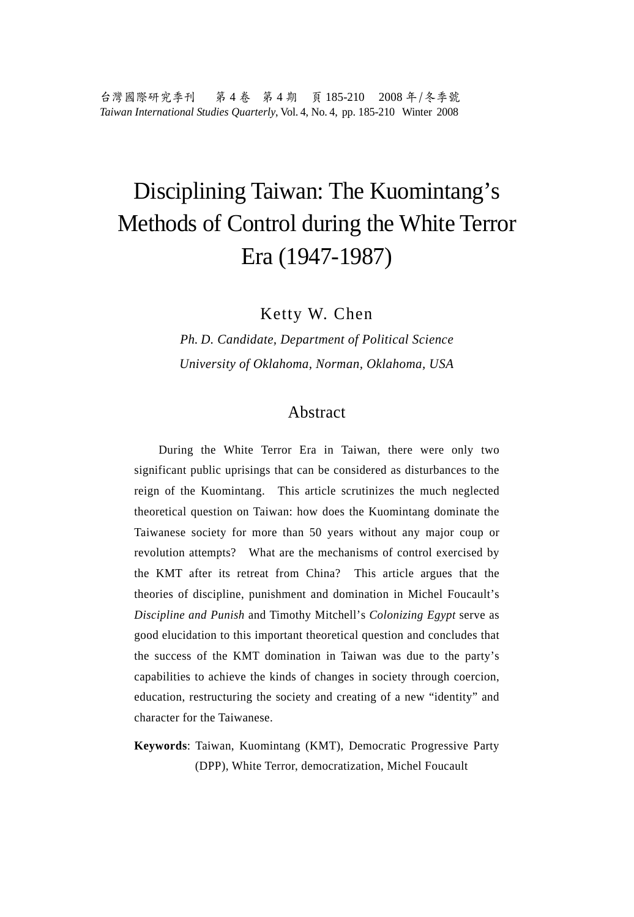台灣國際研究季刊 第4卷 第4期 頁185-210 2008年/冬季號 Taiwan International Studies Quarterly, Vol. 4, No. 4, pp. 185-210 Winter 2008

# Disciplining Taiwan: The Kuomintang's Methods of Control during the White Terror Era (1947-1987)

Ketty W. Chen

Ph. D. Candidate, Department of Political Science University of Oklahoma, Norman, Oklahoma, USA

#### Abstract

During the White Terror Era in Taiwan, there were only two significant public uprisings that can be considered as disturbances to the reign of the Kuomintang. This article scrutinizes the much neglected theoretical question on Taiwan: how does the Kuomintang dominate the Taiwanese society for more than 50 years without any major coup or revolution attempts? What are the mechanisms of control exercised by the KMT after its retreat from China? This article argues that the theories of discipline, punishment and domination in Michel Foucault's Discipline and Punish and Timothy Mitchell's Colonizing Egypt serve as good elucidation to this important theoretical question and concludes that the success of the KMT domination in Taiwan was due to the party's capabilities to achieve the kinds of changes in society through coercion, education, restructuring the society and creating of a new "identity" and character for the Taiwanese.

Keywords: Taiwan, Kuomintang (KMT), Democratic Progressive Party (DPP), White Terror, democratization, Michel Foucault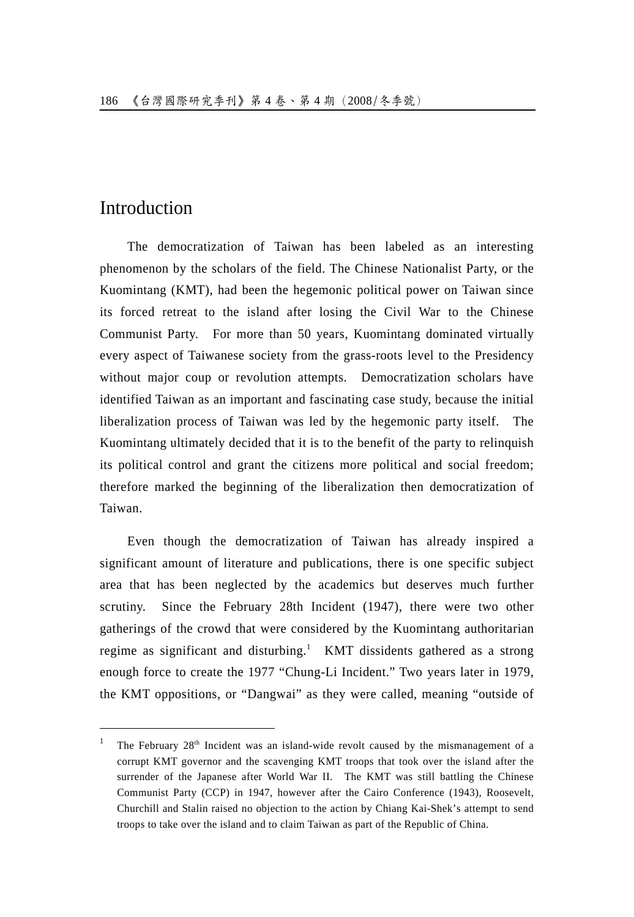# Introduction

 $\overline{a}$ 

The democratization of Taiwan has been labeled as an interesting phenomenon by the scholars of the field. The Chinese Nationalist Party, or the Kuomintang (KMT), had been the hegemonic political power on Taiwan since its forced retreat to the island after losing the Civil War to the Chinese Communist Party. For more than 50 years, Kuomintang dominated virtually every aspect of Taiwanese society from the grass-roots level to the Presidency without major coup or revolution attempts. Democratization scholars have identified Taiwan as an important and fascinating case study, because the initial liberalization process of Taiwan was led by the hegemonic party itself. The Kuomintang ultimately decided that it is to the benefit of the party to relinquish its political control and grant the citizens more political and social freedom; therefore marked the beginning of the liberalization then democratization of Taiwan.

Even though the democratization of Taiwan has already inspired a significant amount of literature and publications, there is one specific subject area that has been neglected by the academics but deserves much further scrutiny. Since the February 28th Incident (1947), there were two other gatherings of the crowd that were considered by the Kuomintang authoritarian regime as significant and disturbing.<sup>1</sup> KMT dissidents gathered as a strong enough force to create the 1977 "Chung-Li Incident." Two years later in 1979, the KMT oppositions, or "Dangwai" as they were called, meaning "outside of

The February  $28<sup>th</sup>$  Incident was an island-wide revolt caused by the mismanagement of a corrupt KMT governor and the scavenging KMT troops that took over the island after the surrender of the Japanese after World War II. The KMT was still battling the Chinese Communist Party (CCP) in 1947, however after the Cairo Conference (1943), Roosevelt, Churchill and Stalin raised no objection to the action by Chiang Kai-Shek's attempt to send troops to take over the island and to claim Taiwan as part of the Republic of China.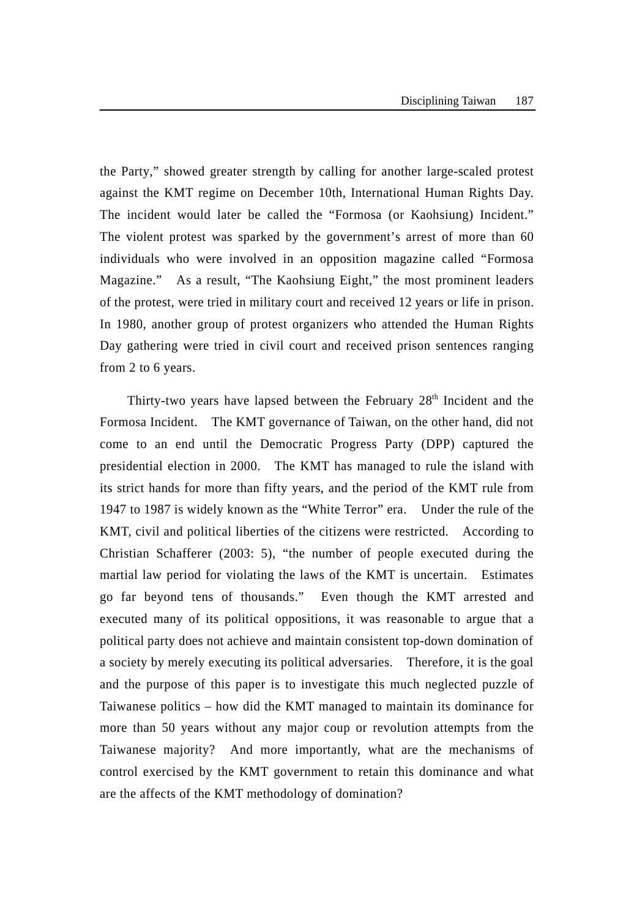the Party," showed greater strength by calling for another large-scaled protest against the KMT regime on December 10th, International Human Rights Day. The incident would later be called the "Formosa (or Kaohsiung) Incident." The violent protest was sparked by the government's arrest of more than 60 individuals who were involved in an opposition magazine called "Formosa Magazine." As a result, "The Kaohsiung Eight," the most prominent leaders of the protest, were tried in military court and received 12 years or life in prison. In 1980, another group of protest organizers who attended the Human Rights Day gathering were tried in civil court and received prison sentences ranging from 2 to 6 years.

Thirty-two years have lapsed between the February  $28<sup>th</sup>$  Incident and the Formosa Incident. The KMT governance of Taiwan, on the other hand, did not come to an end until the Democratic Progress Party (DPP) captured the presidential election in 2000. The KMT has managed to rule the island with its strict hands for more than fifty years, and the period of the KMT rule from 1947 to 1987 is widely known as the "White Terror" era. Under the rule of the KMT, civil and political liberties of the citizens were restricted. According to Christian Schafferer (2003: 5), "the number of people executed during the martial law period for violating the laws of the KMT is uncertain. Estimates go far beyond tens of thousands." Even though the KMT arrested and executed many of its political oppositions, it was reasonable to argue that a political party does not achieve and maintain consistent top-down domination of a society by merely executing its political adversaries. Therefore, it is the goal and the purpose of this paper is to investigate this much neglected puzzle of Taiwanese politics – how did the KMT managed to maintain its dominance for more than 50 years without any major coup or revolution attempts from the Taiwanese majority? And more importantly, what are the mechanisms of control exercised by the KMT government to retain this dominance and what are the affects of the KMT methodology of domination?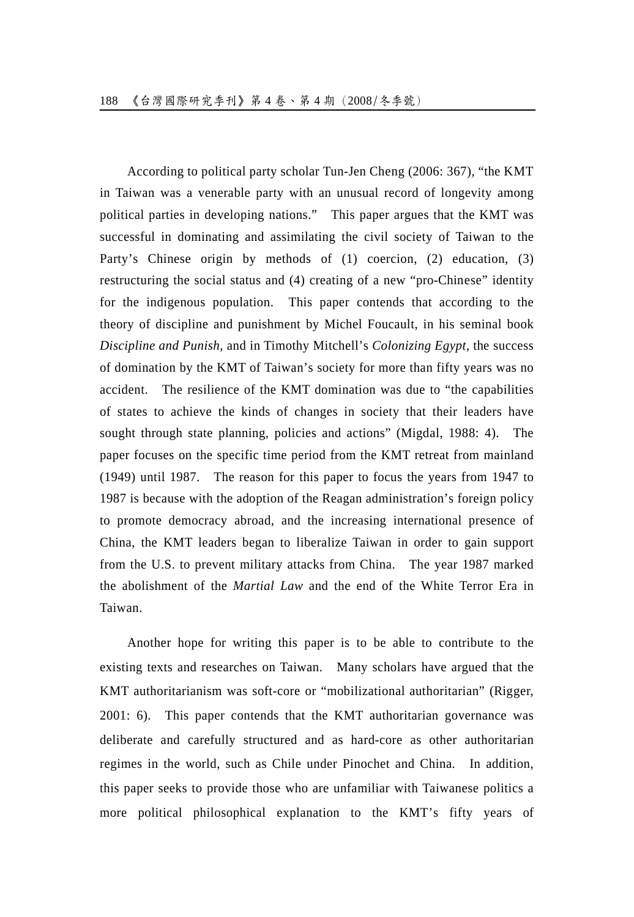According to political party scholar Tun-Jen Cheng (2006: 367), "the KMT in Taiwan was a venerable party with an unusual record of longevity among political parties in developing nations." This paper argues that the KMT was successful in dominating and assimilating the civil society of Taiwan to the Party's Chinese origin by methods of (1) coercion, (2) education, (3) restructuring the social status and (4) creating of a new "pro-Chinese" identity for the indigenous population. This paper contends that according to the theory of discipline and punishment by Michel Foucault, in his seminal book Discipline and Punish, and in Timothy Mitchell's Colonizing Egypt, the success of domination by the KMT of Taiwan's society for more than fifty years was no accident. The resilience of the KMT domination was due to "the capabilities" of states to achieve the kinds of changes in society that their leaders have sought through state planning, policies and actions" (Migdal, 1988: 4). The paper focuses on the specific time period from the KMT retreat from mainland (1949) until 1987. The reason for this paper to focus the years from 1947 to 1987 is because with the adoption of the Reagan administration's foreign policy to promote democracy abroad, and the increasing international presence of China, the KMT leaders began to liberalize Taiwan in order to gain support from the U.S. to prevent military attacks from China. The year 1987 marked the abolishment of the *Martial Law* and the end of the White Terror Era in Taiwan.

Another hope for writing this paper is to be able to contribute to the existing texts and researches on Taiwan. Many scholars have argued that the KMT authoritarianism was soft-core or "mobilizational authoritarian" (Rigger, 2001: 6). This paper contends that the KMT authoritarian governance was deliberate and carefully structured and as hard-core as other authoritarian regimes in the world, such as Chile under Pinochet and China. In addition, this paper seeks to provide those who are unfamiliar with Taiwanese politics a more political philosophical explanation to the KMT's fifty years of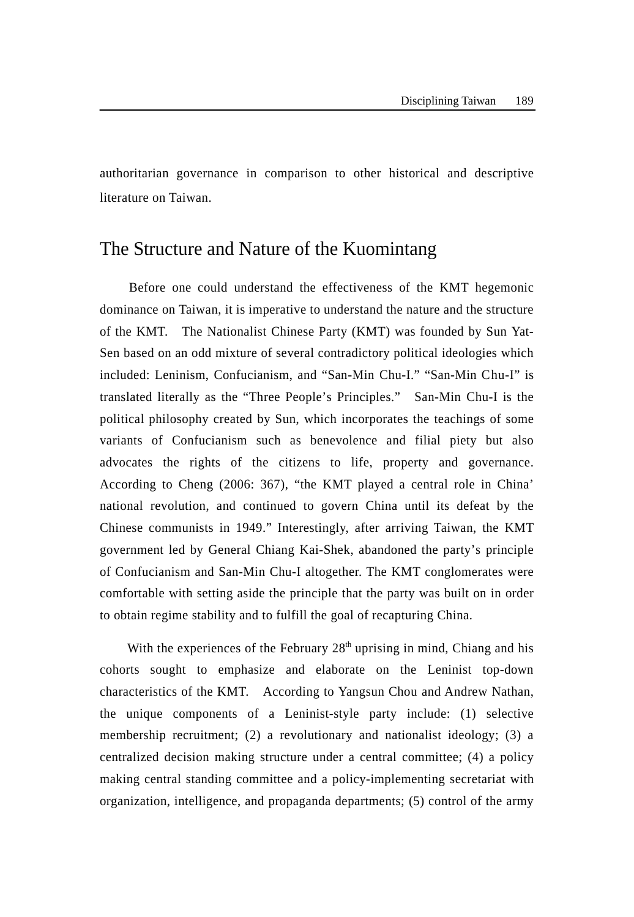authoritarian governance in comparison to other historical and descriptive literature on Taiwan.

### The Structure and Nature of the Kuomintang

Before one could understand the effectiveness of the KMT hegemonic dominance on Taiwan, it is imperative to understand the nature and the structure of the KMT. The Nationalist Chinese Party (KMT) was founded by Sun Yat-Sen based on an odd mixture of several contradictory political ideologies which included: Leninism, Confucianism, and "San-Min Chu-I." "San-Min Chu-I" is translated literally as the "Three People's Principles." San-Min Chu-I is the political philosophy created by Sun, which incorporates the teachings of some variants of Confucianism such as benevolence and filial piety but also advocates the rights of the citizens to life, property and governance. According to Cheng (2006: 367), "the KMT played a central role in China' national revolution, and continued to govern China until its defeat by the Chinese communists in 1949." Interestingly, after arriving Taiwan, the KMT government led by General Chiang Kai-Shek, abandoned the party's principle of Confucianism and San-Min Chu-I altogether. The KMT conglomerates were comfortable with setting aside the principle that the party was built on in order to obtain regime stability and to fulfill the goal of recapturing China.

With the experiences of the February  $28<sup>th</sup>$  uprising in mind, Chiang and his cohorts sought to emphasize and elaborate on the Leninist top-down characteristics of the KMT. According to Yangsun Chou and Andrew Nathan, the unique components of a Leninist-style party include: (1) selective membership recruitment; (2) a revolutionary and nationalist ideology; (3) a centralized decision making structure under a central committee; (4) a policy making central standing committee and a policy-implementing secretariat with organization, intelligence, and propaganda departments; (5) control of the army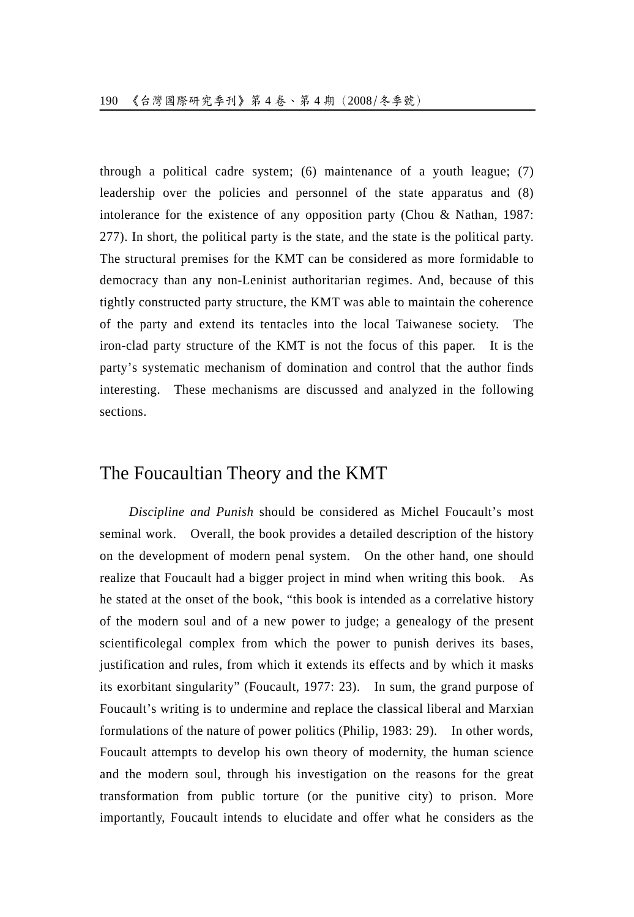through a political cadre system; (6) maintenance of a youth league; (7) leadership over the policies and personnel of the state apparatus and (8) intolerance for the existence of any opposition party (Chou & Nathan, 1987: 277). In short, the political party is the state, and the state is the political party. The structural premises for the KMT can be considered as more formidable to democracy than any non-Leninist authoritarian regimes. And, because of this tightly constructed party structure, the KMT was able to maintain the coherence of the party and extend its tentacles into the local Taiwanese society. The iron-clad party structure of the KMT is not the focus of this paper. It is the party's systematic mechanism of domination and control that the author finds interesting. These mechanisms are discussed and analyzed in the following sections.

## The Foucaultian Theory and the KMT

*Discipline and Punish* should be considered as Michel Foucault's most seminal work. Overall, the book provides a detailed description of the history on the development of modern penal system. On the other hand, one should realize that Foucault had a bigger project in mind when writing this book. As he stated at the onset of the book, "this book is intended as a correlative history of the modern soul and of a new power to judge; a genealogy of the present scientificolegal complex from which the power to punish derives its bases, justification and rules, from which it extends its effects and by which it masks its exorbitant singularity" (Foucault, 1977: 23). In sum, the grand purpose of Foucault's writing is to undermine and replace the classical liberal and Marxian formulations of the nature of power politics (Philip, 1983: 29). In other words, Foucault attempts to develop his own theory of modernity, the human science and the modern soul, through his investigation on the reasons for the great transformation from public torture (or the punitive city) to prison. More importantly, Foucault intends to elucidate and offer what he considers as the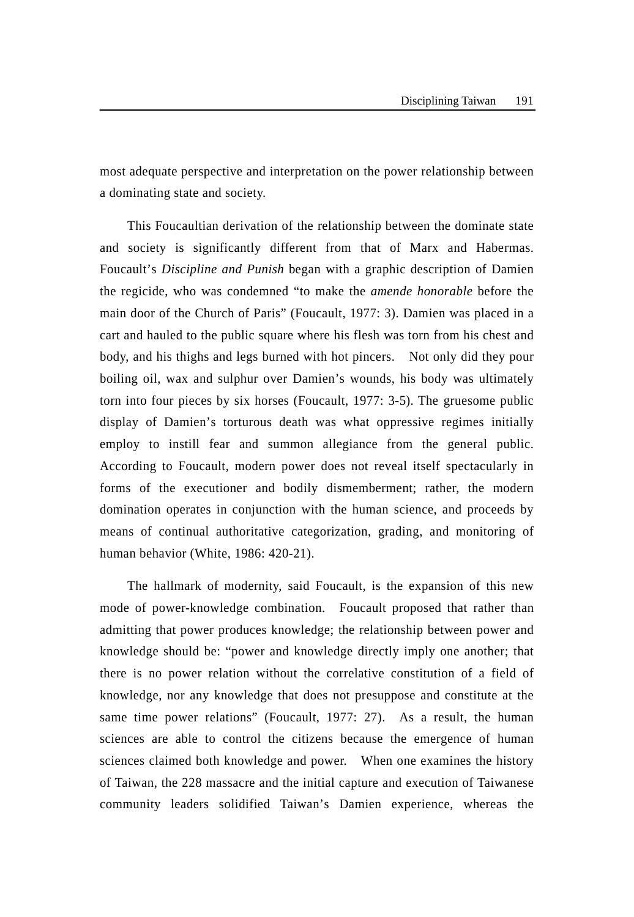most adequate perspective and interpretation on the power relationship between a dominating state and society.

This Foucaultian derivation of the relationship between the dominate state and society is significantly different from that of Marx and Habermas. Foucault's *Discipline and Punish* began with a graphic description of Damien the regicide, who was condemned "to make the *amende honorable* before the main door of the Church of Paris" (Foucault, 1977: 3). Damien was placed in a cart and hauled to the public square where his flesh was torn from his chest and body, and his thighs and legs burned with hot pincers. Not only did they pour boiling oil, wax and sulphur over Damien's wounds, his body was ultimately torn into four pieces by six horses (Foucault, 1977: 3-5). The gruesome public display of Damien's torturous death was what oppressive regimes initially employ to instill fear and summon allegiance from the general public. According to Foucault, modern power does not reveal itself spectacularly in forms of the executioner and bodily dismemberment; rather, the modern domination operates in conjunction with the human science, and proceeds by means of continual authoritative categorization, grading, and monitoring of human behavior (White, 1986: 420-21).

The hallmark of modernity, said Foucault, is the expansion of this new mode of power-knowledge combination. Foucault proposed that rather than admitting that power produces knowledge; the relationship between power and knowledge should be: "power and knowledge directly imply one another; that there is no power relation without the correlative constitution of a field of knowledge, nor any knowledge that does not presuppose and constitute at the same time power relations" (Foucault, 1977: 27). As a result, the human sciences are able to control the citizens because the emergence of human sciences claimed both knowledge and power. When one examines the history of Taiwan, the 228 massacre and the initial capture and execution of Taiwanese community leaders solidified Taiwan's Damien experience, whereas the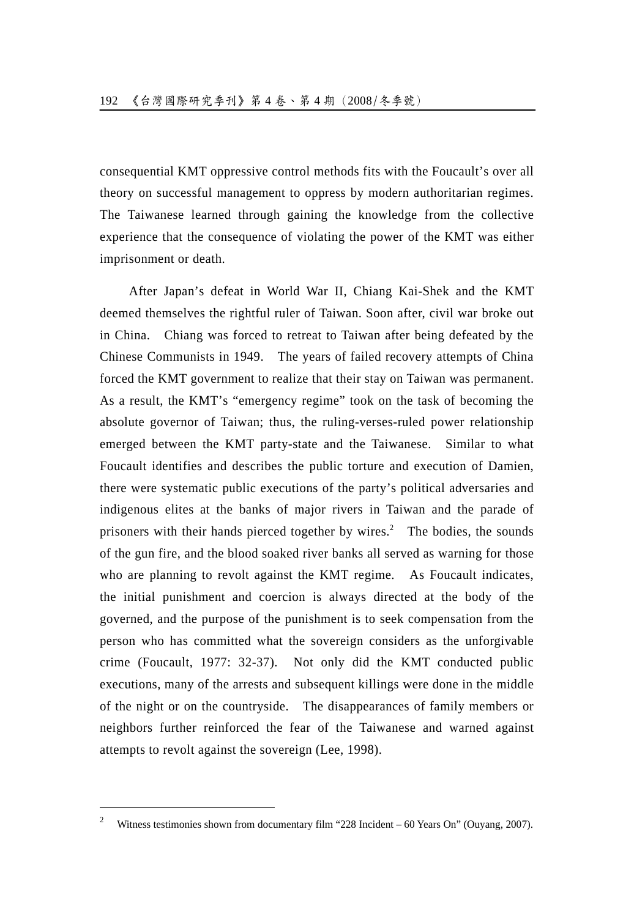consequential KMT oppressive control methods fits with the Foucault's over all theory on successful management to oppress by modern authoritarian regimes. The Taiwanese learned through gaining the knowledge from the collective experience that the consequence of violating the power of the KMT was either imprisonment or death.

After Japan's defeat in World War II, Chiang Kai-Shek and the KMT deemed themselves the rightful ruler of Taiwan. Soon after, civil war broke out in China. Chiang was forced to retreat to Taiwan after being defeated by the Chinese Communists in 1949. The years of failed recovery attempts of China forced the KMT government to realize that their stay on Taiwan was permanent. As a result, the KMT's "emergency regime" took on the task of becoming the absolute governor of Taiwan; thus, the ruling-verses-ruled power relationship emerged between the KMT party-state and the Taiwanese. Similar to what Foucault identifies and describes the public torture and execution of Damien, there were systematic public executions of the party's political adversaries and indigenous elites at the banks of major rivers in Taiwan and the parade of prisoners with their hands pierced together by wires.<sup>2</sup> The bodies, the sounds of the gun fire, and the blood soaked river banks all served as warning for those who are planning to revolt against the KMT regime. As Foucault indicates, the initial punishment and coercion is always directed at the body of the governed, and the purpose of the punishment is to seek compensation from the person who has committed what the sovereign considers as the unforgivable crime (Foucault, 1977: 32-37). Not only did the KMT conducted public executions, many of the arrests and subsequent killings were done in the middle of the night or on the countryside. The disappearances of family members or neighbors further reinforced the fear of the Taiwanese and warned against attempts to revolt against the sovereign (Lee, 1998).

 $\overline{a}$ 

<sup>&</sup>lt;sup>2</sup> Witness testimonies shown from documentary film "228 Incident – 60 Years On" (Ouyang, 2007).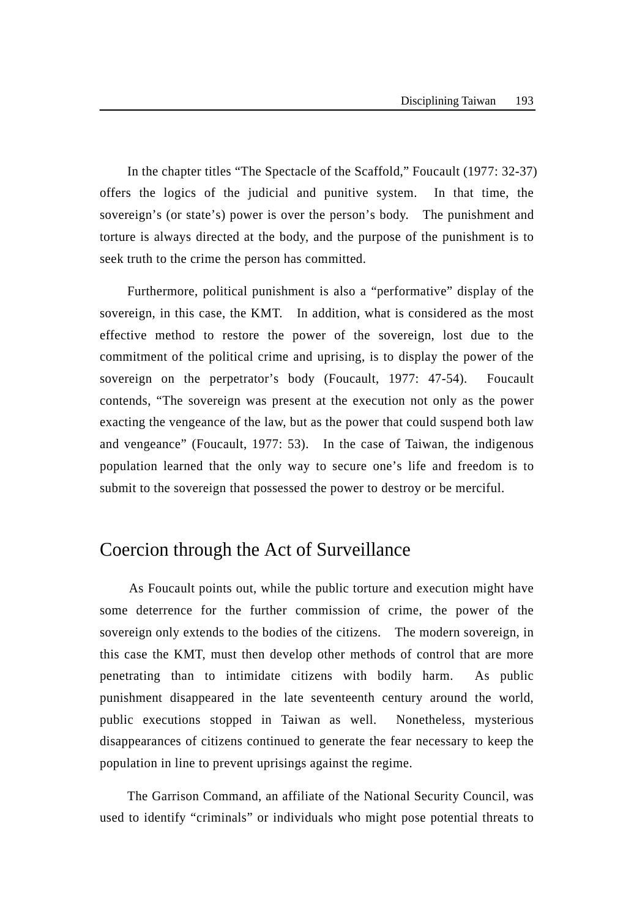In the chapter titles "The Spectacle of the Scaffold," Foucault (1977: 32-37) offers the logics of the judicial and punitive system. In that time, the sovereign's (or state's) power is over the person's body. The punishment and torture is always directed at the body, and the purpose of the punishment is to seek truth to the crime the person has committed.

Furthermore, political punishment is also a "performative" display of the sovereign, in this case, the KMT. In addition, what is considered as the most effective method to restore the power of the sovereign, lost due to the commitment of the political crime and uprising, is to display the power of the sovereign on the perpetrator's body (Foucault, 1977: 47-54). Foucault contends, "The sovereign was present at the execution not only as the power exacting the vengeance of the law, but as the power that could suspend both law and vengeance" (Foucault, 1977: 53). In the case of Taiwan, the indigenous population learned that the only way to secure one's life and freedom is to submit to the sovereign that possessed the power to destroy or be merciful.

# Coercion through the Act of Surveillance

As Foucault points out, while the public torture and execution might have some deterrence for the further commission of crime, the power of the sovereign only extends to the bodies of the citizens. The modern sovereign, in this case the KMT, must then develop other methods of control that are more penetrating than to intimidate citizens with bodily harm. As public punishment disappeared in the late seventeenth century around the world, public executions stopped in Taiwan as well. Nonetheless, mysterious disappearances of citizens continued to generate the fear necessary to keep the population in line to prevent uprisings against the regime.

The Garrison Command, an affiliate of the National Security Council, was used to identify "criminals" or individuals who might pose potential threats to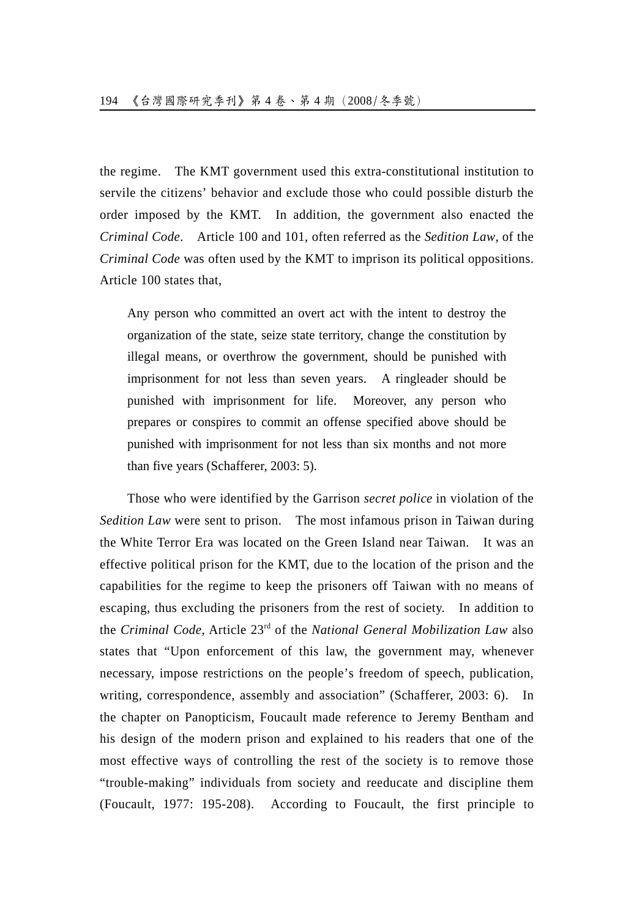the regime. The KMT government used this extra-constitutional institution to servile the citizens' behavior and exclude those who could possible disturb the order imposed by the KMT. In addition, the government also enacted the Criminal Code. Article 100 and 101, often referred as the Sedition Law, of the *Criminal Code* was often used by the KMT to imprison its political oppositions. Article 100 states that,

Any person who committed an overt act with the intent to destroy the organization of the state, seize state territory, change the constitution by illegal means, or overthrow the government, should be punished with imprisonment for not less than seven years. A ringleader should be punished with imprisonment for life. Moreover, any person who prepares or conspires to commit an offense specified above should be punished with imprisonment for not less than six months and not more than five years (Schafferer, 2003: 5).

Those who were identified by the Garrison secret police in violation of the Sedition Law were sent to prison. The most infamous prison in Taiwan during the White Terror Era was located on the Green Island near Taiwan. It was an effective political prison for the KMT, due to the location of the prison and the capabilities for the regime to keep the prisoners off Taiwan with no means of escaping, thus excluding the prisoners from the rest of society. In addition to the Criminal Code, Article 23<sup>rd</sup> of the National General Mobilization Law also states that "Upon enforcement of this law, the government may, whenever necessary, impose restrictions on the people's freedom of speech, publication, writing, correspondence, assembly and association" (Schafferer, 2003: 6). In the chapter on Panopticism, Foucault made reference to Jeremy Bentham and his design of the modern prison and explained to his readers that one of the most effective ways of controlling the rest of the society is to remove those "trouble-making" individuals from society and reeducate and discipline them (Foucault, 1977: 195-208). According to Foucault, the first principle to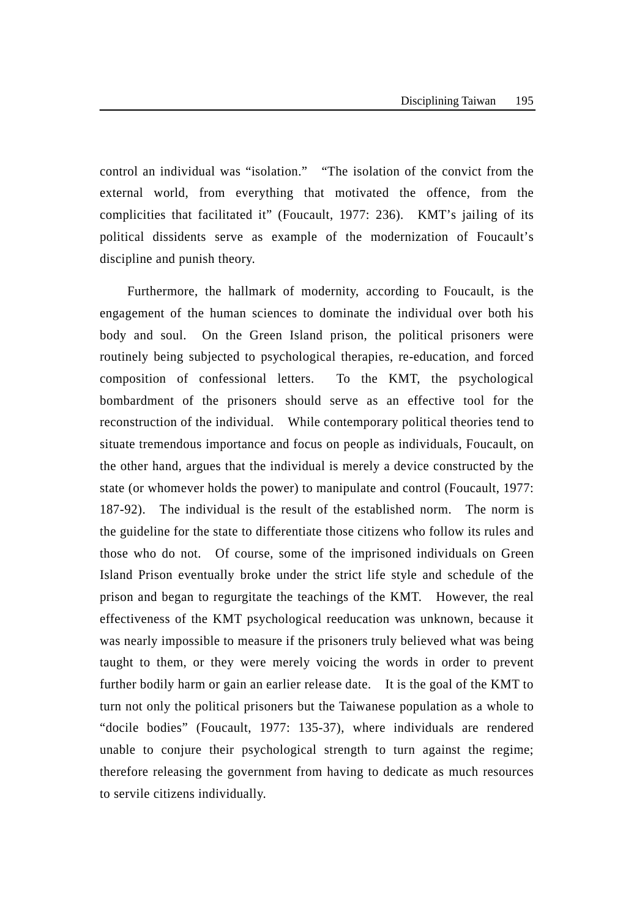control an individual was "isolation." "The isolation of the convict from the external world, from everything that motivated the offence, from the complicities that facilitated it" (Foucault, 1977: 236). KMT's jailing of its political dissidents serve as example of the modernization of Foucault's discipline and punish theory.

Furthermore, the hallmark of modernity, according to Foucault, is the engagement of the human sciences to dominate the individual over both his body and soul. On the Green Island prison, the political prisoners were routinely being subjected to psychological therapies, re-education, and forced composition of confessional letters. To the KMT, the psychological bombardment of the prisoners should serve as an effective tool for the reconstruction of the individual. While contemporary political theories tend to situate tremendous importance and focus on people as individuals, Foucault, on the other hand, argues that the individual is merely a device constructed by the state (or whomever holds the power) to manipulate and control (Foucault, 1977: 187-92). The individual is the result of the established norm. The norm is the guideline for the state to differentiate those citizens who follow its rules and those who do not. Of course, some of the imprisoned individuals on Green Island Prison eventually broke under the strict life style and schedule of the prison and began to regurgitate the teachings of the KMT. However, the real effectiveness of the KMT psychological reeducation was unknown, because it was nearly impossible to measure if the prisoners truly believed what was being taught to them, or they were merely voicing the words in order to prevent further bodily harm or gain an earlier release date. It is the goal of the KMT to turn not only the political prisoners but the Taiwanese population as a whole to "docile bodies" (Foucault, 1977: 135-37), where individuals are rendered unable to conjure their psychological strength to turn against the regime; therefore releasing the government from having to dedicate as much resources to servile citizens individually.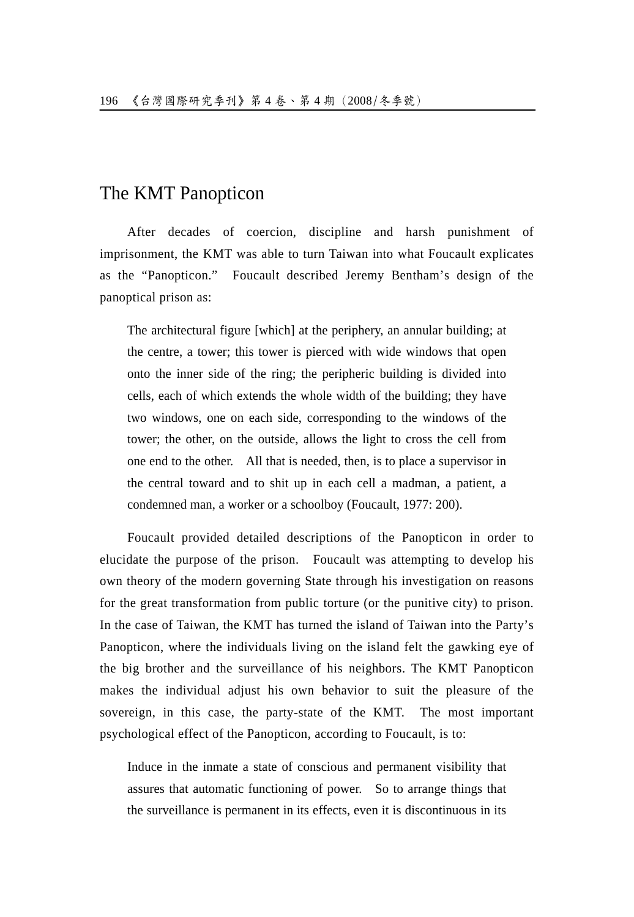# The KMT Panopticon

After decades of coercion, discipline and harsh punishment of imprisonment, the KMT was able to turn Taiwan into what Foucault explicates as the "Panopticon." Foucault described Jeremy Bentham's design of the panoptical prison as:

The architectural figure [which] at the periphery, an annular building; at the centre, a tower; this tower is pierced with wide windows that open onto the inner side of the ring; the peripheric building is divided into cells, each of which extends the whole width of the building; they have two windows, one on each side, corresponding to the windows of the tower; the other, on the outside, allows the light to cross the cell from one end to the other. All that is needed, then, is to place a supervisor in the central toward and to shit up in each cell a madman, a patient, a condemned man, a worker or a schoolboy (Foucault, 1977: 200).

Foucault provided detailed descriptions of the Panopticon in order to elucidate the purpose of the prison. Foucault was attempting to develop his own theory of the modern governing State through his investigation on reasons for the great transformation from public torture (or the punitive city) to prison. In the case of Taiwan, the KMT has turned the island of Taiwan into the Party's Panopticon, where the individuals living on the island felt the gawking eye of the big brother and the surveillance of his neighbors. The KMT Panopticon makes the individual adjust his own behavior to suit the pleasure of the sovereign, in this case, the party-state of the KMT. The most important psychological effect of the Panopticon, according to Foucault, is to:

Induce in the inmate a state of conscious and permanent visibility that assures that automatic functioning of power. So to arrange things that the surveillance is permanent in its effects, even it is discontinuous in its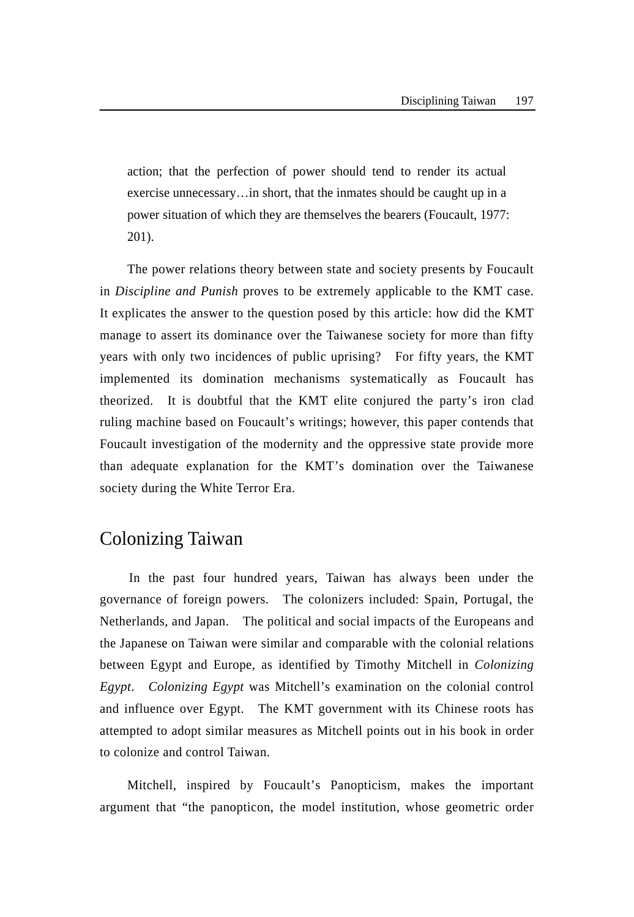action; that the perfection of power should tend to render its actual exercise unnecessary…in short, that the inmates should be caught up in a power situation of which they are themselves the bearers (Foucault, 1977: 201).

The power relations theory between state and society presents by Foucault in *Discipline and Punish* proves to be extremely applicable to the KMT case. It explicates the answer to the question posed by this article: how did the KMT manage to assert its dominance over the Taiwanese society for more than fifty years with only two incidences of public uprising? For fifty years, the KMT implemented its domination mechanisms systematically as Foucault has theorized. It is doubtful that the KMT elite conjured the party's iron clad ruling machine based on Foucault's writings; however, this paper contends that Foucault investigation of the modernity and the oppressive state provide more than adequate explanation for the KMT's domination over the Taiwanese society during the White Terror Era.

## Colonizing Taiwan

In the past four hundred years, Taiwan has always been under the governance of foreign powers. The colonizers included: Spain, Portugal, the Netherlands, and Japan. The political and social impacts of the Europeans and the Japanese on Taiwan were similar and comparable with the colonial relations between Egypt and Europe, as identified by Timothy Mitchell in *Colonizing Egypt*. *Colonizing Egypt* was Mitchell's examination on the colonial control and influence over Egypt. The KMT government with its Chinese roots has attempted to adopt similar measures as Mitchell points out in his book in order to colonize and control Taiwan.

Mitchell, inspired by Foucault's Panopticism, makes the important argument that "the panopticon, the model institution, whose geometric order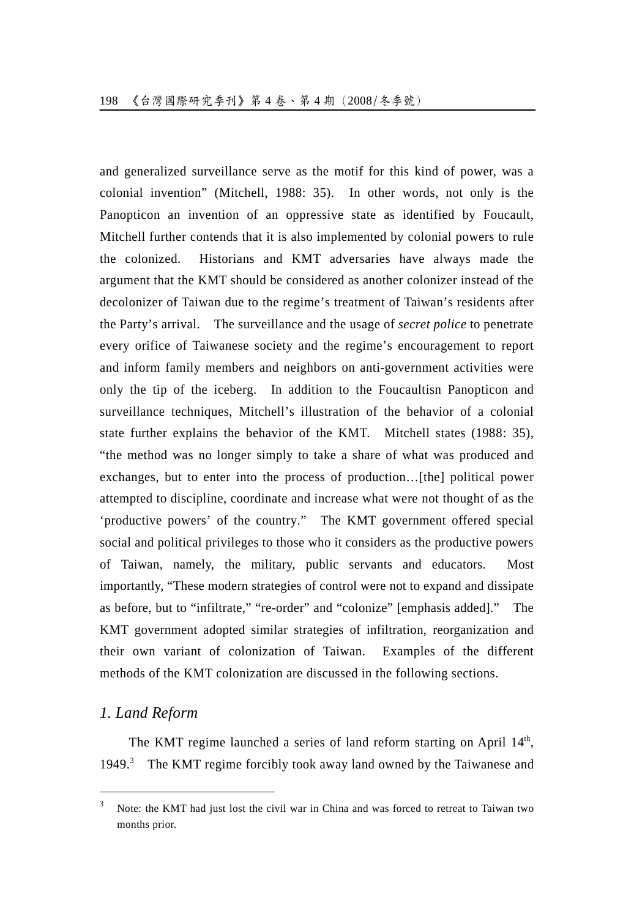and generalized surveillance serve as the motif for this kind of power, was a colonial invention" (Mitchell, 1988: 35). In other words, not only is the Panopticon an invention of an oppressive state as identified by Foucault, Mitchell further contends that it is also implemented by colonial powers to rule the colonized. Historians and KMT adversaries have always made the argument that the KMT should be considered as another colonizer instead of the decolonizer of Taiwan due to the regime's treatment of Taiwan's residents after the Party's arrival. The surveillance and the usage of *secret police* to penetrate every orifice of Taiwanese society and the regime's encouragement to report and inform family members and neighbors on anti-government activities were only the tip of the iceberg. In addition to the Foucaultisn Panopticon and surveillance techniques, Mitchell's illustration of the behavior of a colonial state further explains the behavior of the KMT. Mitchell states (1988: 35), "the method was no longer simply to take a share of what was produced and exchanges, but to enter into the process of production...[the] political power attempted to discipline, coordinate and increase what were not thought of as the 'productive powers' of the country." The KMT government offered special social and political privileges to those who it considers as the productive powers of Taiwan, namely, the military, public servants and educators. Most importantly, "These modern strategies of control were not to expand and dissipate as before, but to "infiltrate," "re-order" and "colonize" [emphasis added]." The KMT government adopted similar strategies of infiltration, reorganization and their own variant of colonization of Taiwan. Examples of the different methods of the KMT colonization are discussed in the following sections.

#### 1. Land Reform

The KMT regime launched a series of land reform starting on April 14<sup>th</sup>, 1949.<sup>3</sup> The KMT regime forcibly took away land owned by the Taiwanese and

Note: the KMT had just lost the civil war in China and was forced to retreat to Taiwan two months prior.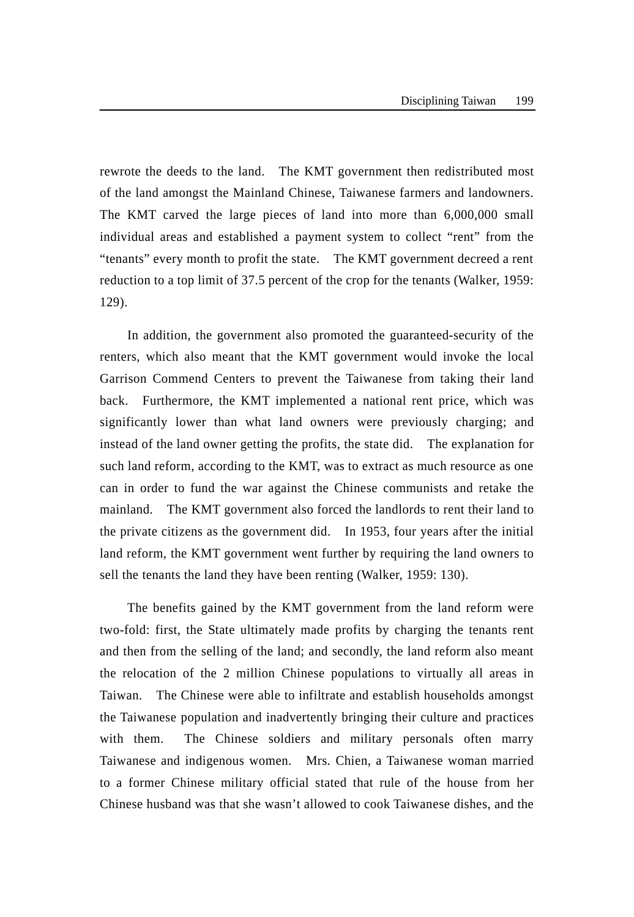rewrote the deeds to the land. The KMT government then redistributed most of the land amongst the Mainland Chinese, Taiwanese farmers and landowners. The KMT carved the large pieces of land into more than 6,000,000 small individual areas and established a payment system to collect "rent" from the "tenants" every month to profit the state. The KMT government decreed a rent reduction to a top limit of 37.5 percent of the crop for the tenants (Walker, 1959: 129).

In addition, the government also promoted the guaranteed-security of the renters, which also meant that the KMT government would invoke the local Garrison Commend Centers to prevent the Taiwanese from taking their land back. Furthermore, the KMT implemented a national rent price, which was significantly lower than what land owners were previously charging; and instead of the land owner getting the profits, the state did. The explanation for such land reform, according to the KMT, was to extract as much resource as one can in order to fund the war against the Chinese communists and retake the mainland. The KMT government also forced the landlords to rent their land to the private citizens as the government did. In 1953, four years after the initial land reform, the KMT government went further by requiring the land owners to sell the tenants the land they have been renting (Walker, 1959: 130).

The benefits gained by the KMT government from the land reform were two-fold: first, the State ultimately made profits by charging the tenants rent and then from the selling of the land; and secondly, the land reform also meant the relocation of the 2 million Chinese populations to virtually all areas in Taiwan. The Chinese were able to infiltrate and establish households amongst the Taiwanese population and inadvertently bringing their culture and practices with them. The Chinese soldiers and military personals often marry Taiwanese and indigenous women. Mrs. Chien, a Taiwanese woman married to a former Chinese military official stated that rule of the house from her Chinese husband was that she wasn't allowed to cook Taiwanese dishes, and the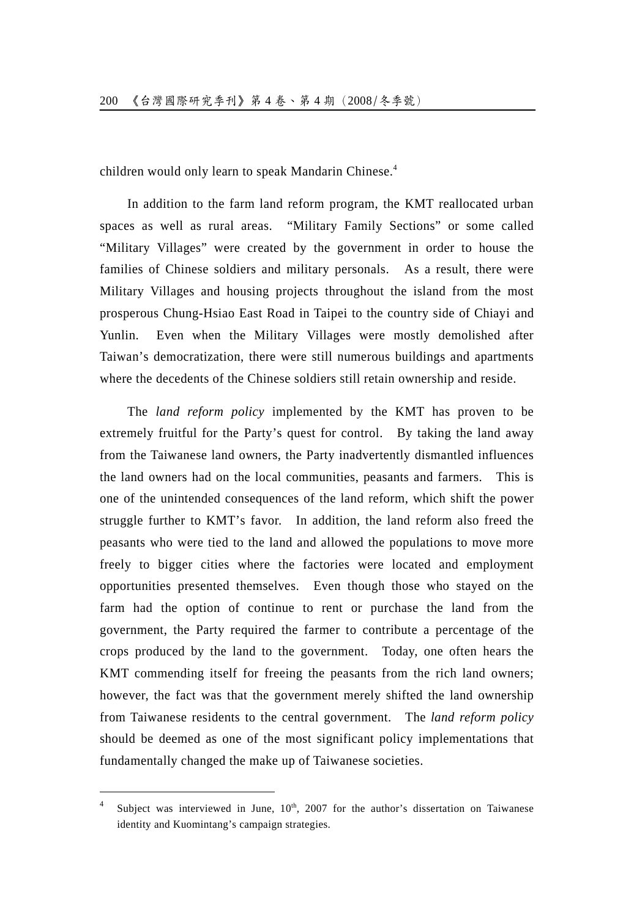children would only learn to speak Mandarin Chinese.<sup>4</sup>

In addition to the farm land reform program, the KMT reallocated urban spaces as well as rural areas. "Military Family Sections" or some called "Military Villages" were created by the government in order to house the families of Chinese soldiers and military personals. As a result, there were Military Villages and housing projects throughout the island from the most prosperous Chung-Hsiao East Road in Taipei to the country side of Chiayi and Even when the Military Villages were mostly demolished after Yunlin. Taiwan's democratization, there were still numerous buildings and apartments where the decedents of the Chinese soldiers still retain ownership and reside.

The *land reform policy* implemented by the KMT has proven to be extremely fruitful for the Party's quest for control. By taking the land away from the Taiwanese land owners, the Party inadvertently dismantled influences the land owners had on the local communities, peasants and farmers. This is one of the unintended consequences of the land reform, which shift the power struggle further to KMT's favor. In addition, the land reform also freed the peasants who were tied to the land and allowed the populations to move more freely to bigger cities where the factories were located and employment opportunities presented themselves. Even though those who stayed on the farm had the option of continue to rent or purchase the land from the government, the Party required the farmer to contribute a percentage of the crops produced by the land to the government. Today, one often hears the KMT commending itself for freeing the peasants from the rich land owners; however, the fact was that the government merely shifted the land ownership from Taiwanese residents to the central government. The land reform policy should be deemed as one of the most significant policy implementations that fundamentally changed the make up of Taiwanese societies.

Subject was interviewed in June, 10<sup>th</sup>, 2007 for the author's dissertation on Taiwanese identity and Kuomintang's campaign strategies.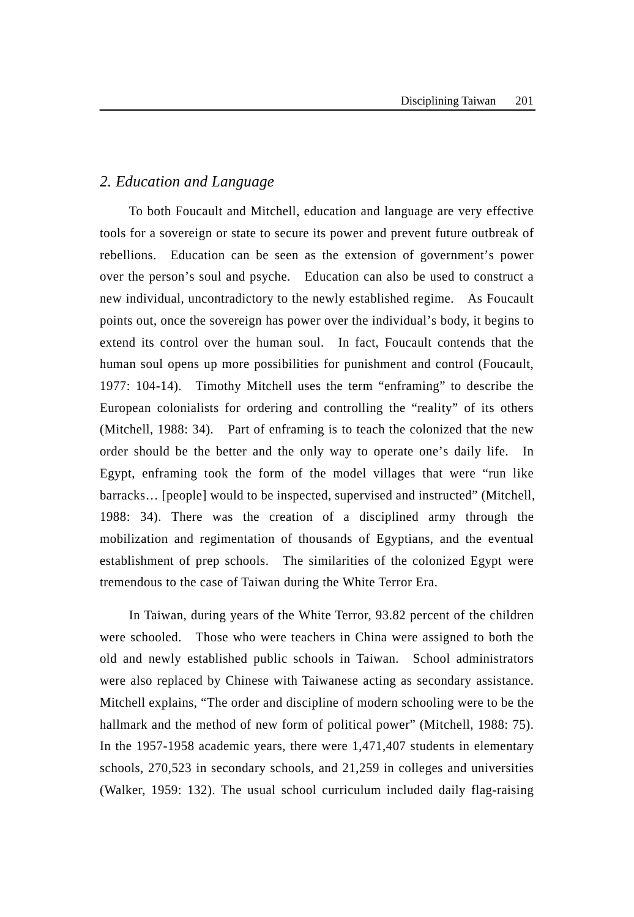#### *2. Education and Language*

To both Foucault and Mitchell, education and language are very effective tools for a sovereign or state to secure its power and prevent future outbreak of rebellions. Education can be seen as the extension of government's power over the person's soul and psyche. Education can also be used to construct a new individual, uncontradictory to the newly established regime. As Foucault points out, once the sovereign has power over the individual's body, it begins to extend its control over the human soul. In fact, Foucault contends that the human soul opens up more possibilities for punishment and control (Foucault, 1977: 104-14). Timothy Mitchell uses the term "enframing" to describe the European colonialists for ordering and controlling the "reality" of its others (Mitchell, 1988: 34). Part of enframing is to teach the colonized that the new order should be the better and the only way to operate one's daily life. In Egypt, enframing took the form of the model villages that were "run like barracks… [people] would to be inspected, supervised and instructed" (Mitchell, 1988: 34). There was the creation of a disciplined army through the mobilization and regimentation of thousands of Egyptians, and the eventual establishment of prep schools. The similarities of the colonized Egypt were tremendous to the case of Taiwan during the White Terror Era.

In Taiwan, during years of the White Terror, 93.82 percent of the children were schooled. Those who were teachers in China were assigned to both the old and newly established public schools in Taiwan. School administrators were also replaced by Chinese with Taiwanese acting as secondary assistance. Mitchell explains, "The order and discipline of modern schooling were to be the hallmark and the method of new form of political power" (Mitchell, 1988: 75). In the 1957-1958 academic years, there were 1,471,407 students in elementary schools, 270,523 in secondary schools, and 21,259 in colleges and universities (Walker, 1959: 132). The usual school curriculum included daily flag-raising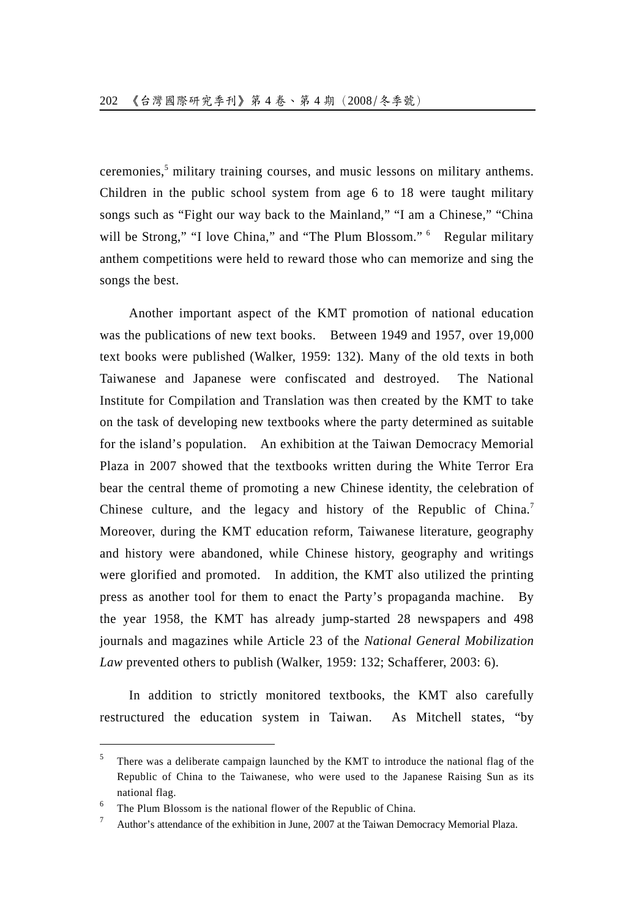ceremonies,<sup>5</sup> military training courses, and music lessons on military anthems. Children in the public school system from age 6 to 18 were taught military songs such as "Fight our way back to the Mainland," "I am a Chinese," "China" will be Strong," "I love China," and "The Plum Blossom." <sup>6</sup> Regular military anthem competitions were held to reward those who can memorize and sing the songs the best.

Another important aspect of the KMT promotion of national education was the publications of new text books. Between 1949 and 1957, over 19,000 text books were published (Walker, 1959: 132). Many of the old texts in both Taiwanese and Japanese were confiscated and destroyed. The National Institute for Compilation and Translation was then created by the KMT to take on the task of developing new textbooks where the party determined as suitable for the island's population. An exhibition at the Taiwan Democracy Memorial Plaza in 2007 showed that the textbooks written during the White Terror Era bear the central theme of promoting a new Chinese identity, the celebration of Chinese culture, and the legacy and history of the Republic of China.<sup>7</sup> Moreover, during the KMT education reform, Taiwanese literature, geography and history were abandoned, while Chinese history, geography and writings were glorified and promoted. In addition, the KMT also utilized the printing press as another tool for them to enact the Party's propaganda machine. By the year 1958, the KMT has already jump-started 28 newspapers and 498 journals and magazines while Article 23 of the National General Mobilization Law prevented others to publish (Walker, 1959: 132; Schafferer, 2003: 6).

In addition to strictly monitored textbooks, the KMT also carefully restructured the education system in Taiwan. As Mitchell states, "by

There was a deliberate campaign launched by the KMT to introduce the national flag of the Republic of China to the Taiwanese, who were used to the Japanese Raising Sun as its national flag.

<sup>6</sup> The Plum Blossom is the national flower of the Republic of China.

Author's attendance of the exhibition in June, 2007 at the Taiwan Democracy Memorial Plaza.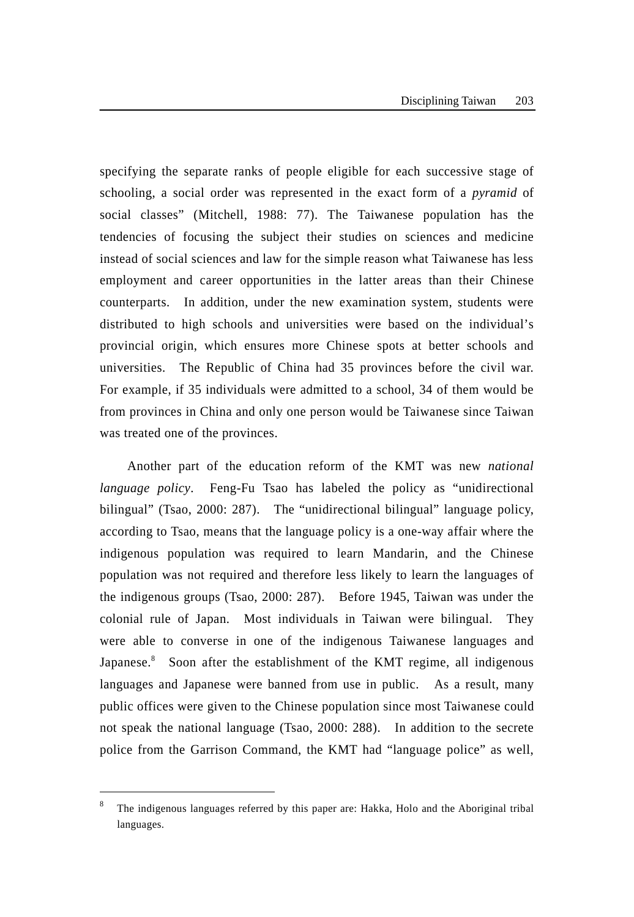specifying the separate ranks of people eligible for each successive stage of schooling, a social order was represented in the exact form of a *pyramid* of social classes" (Mitchell, 1988: 77). The Taiwanese population has the tendencies of focusing the subject their studies on sciences and medicine instead of social sciences and law for the simple reason what Taiwanese has less employment and career opportunities in the latter areas than their Chinese counterparts. In addition, under the new examination system, students were distributed to high schools and universities were based on the individual's provincial origin, which ensures more Chinese spots at better schools and universities. The Republic of China had 35 provinces before the civil war. For example, if 35 individuals were admitted to a school, 34 of them would be from provinces in China and only one person would be Taiwanese since Taiwan was treated one of the provinces.

Another part of the education reform of the KMT was new *national language policy*. Feng-Fu Tsao has labeled the policy as "unidirectional bilingual" (Tsao, 2000: 287). The "unidirectional bilingual" language policy, according to Tsao, means that the language policy is a one-way affair where the indigenous population was required to learn Mandarin, and the Chinese population was not required and therefore less likely to learn the languages of the indigenous groups (Tsao, 2000: 287). Before 1945, Taiwan was under the colonial rule of Japan. Most individuals in Taiwan were bilingual. They were able to converse in one of the indigenous Taiwanese languages and Japanese.<sup>8</sup> Soon after the establishment of the KMT regime, all indigenous languages and Japanese were banned from use in public. As a result, many public offices were given to the Chinese population since most Taiwanese could not speak the national language (Tsao, 2000: 288). In addition to the secrete police from the Garrison Command, the KMT had "language police" as well,

 $\overline{a}$ 

The indigenous languages referred by this paper are: Hakka, Holo and the Aboriginal tribal languages.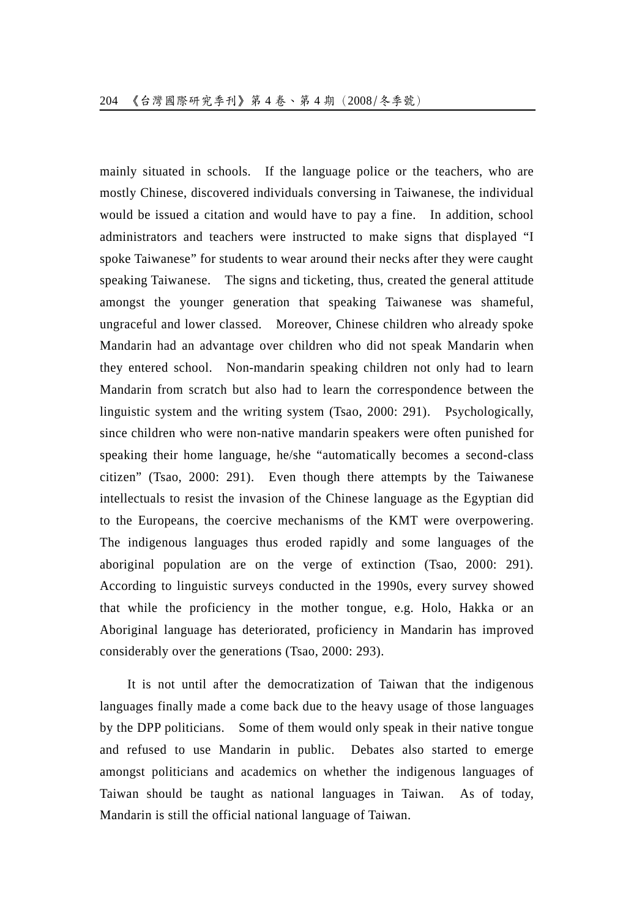mainly situated in schools. If the language police or the teachers, who are mostly Chinese, discovered individuals conversing in Taiwanese, the individual would be issued a citation and would have to pay a fine. In addition, school administrators and teachers were instructed to make signs that displayed "I spoke Taiwanese" for students to wear around their necks after they were caught speaking Taiwanese. The signs and ticketing, thus, created the general attitude amongst the younger generation that speaking Taiwanese was shameful, ungraceful and lower classed. Moreover, Chinese children who already spoke Mandarin had an advantage over children who did not speak Mandarin when they entered school. Non-mandarin speaking children not only had to learn Mandarin from scratch but also had to learn the correspondence between the linguistic system and the writing system (Tsao, 2000: 291). Psychologically, since children who were non-native mandarin speakers were often punished for speaking their home language, he/she "automatically becomes a second-class citizen" (Tsao, 2000: 291). Even though there attempts by the Taiwanese intellectuals to resist the invasion of the Chinese language as the Egyptian did to the Europeans, the coercive mechanisms of the KMT were overpowering. The indigenous languages thus eroded rapidly and some languages of the aboriginal population are on the verge of extinction (Tsao, 2000: 291). According to linguistic surveys conducted in the 1990s, every survey showed that while the proficiency in the mother tongue, e.g. Holo, Hakka or an Aboriginal language has deteriorated, proficiency in Mandarin has improved considerably over the generations (Tsao, 2000: 293).

It is not until after the democratization of Taiwan that the indigenous languages finally made a come back due to the heavy usage of those languages by the DPP politicians. Some of them would only speak in their native tongue and refused to use Mandarin in public. Debates also started to emerge amongst politicians and academics on whether the indigenous languages of Taiwan should be taught as national languages in Taiwan. As of today, Mandarin is still the official national language of Taiwan.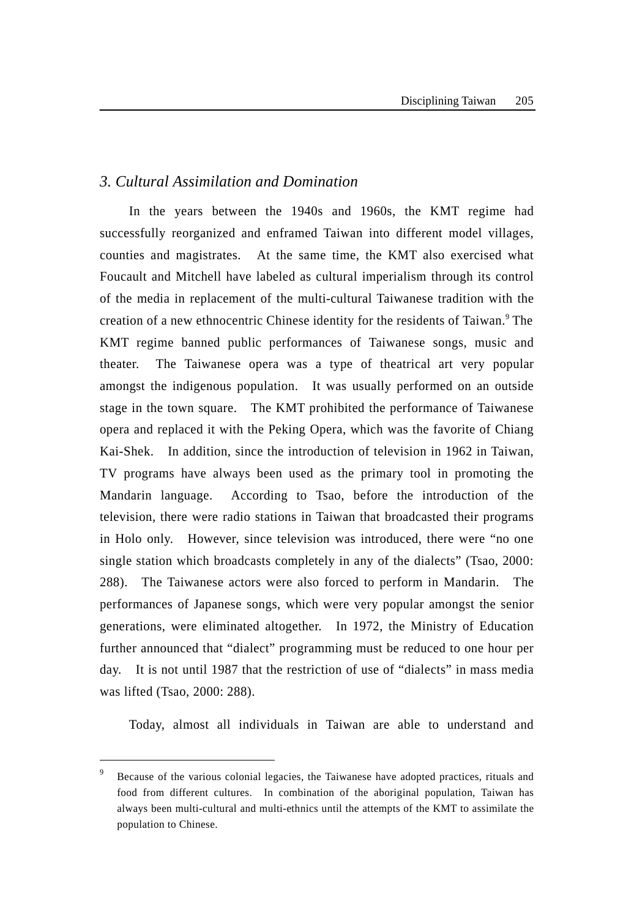#### *3. Cultural Assimilation and Domination*

In the years between the 1940s and 1960s, the KMT regime had successfully reorganized and enframed Taiwan into different model villages, counties and magistrates. At the same time, the KMT also exercised what Foucault and Mitchell have labeled as cultural imperialism through its control of the media in replacement of the multi-cultural Taiwanese tradition with the creation of a new ethnocentric Chinese identity for the residents of Taiwan.<sup>9</sup> The KMT regime banned public performances of Taiwanese songs, music and theater. The Taiwanese opera was a type of theatrical art very popular amongst the indigenous population. It was usually performed on an outside stage in the town square. The KMT prohibited the performance of Taiwanese opera and replaced it with the Peking Opera, which was the favorite of Chiang Kai-Shek. In addition, since the introduction of television in 1962 in Taiwan, TV programs have always been used as the primary tool in promoting the Mandarin language. According to Tsao, before the introduction of the television, there were radio stations in Taiwan that broadcasted their programs in Holo only. However, since television was introduced, there were "no one single station which broadcasts completely in any of the dialects" (Tsao, 2000: 288). The Taiwanese actors were also forced to perform in Mandarin. The performances of Japanese songs, which were very popular amongst the senior generations, were eliminated altogether. In 1972, the Ministry of Education further announced that "dialect" programming must be reduced to one hour per day. It is not until 1987 that the restriction of use of "dialects" in mass media was lifted (Tsao, 2000: 288).

Today, almost all individuals in Taiwan are able to understand and

 $\overline{a}$ 

<sup>9</sup> Because of the various colonial legacies, the Taiwanese have adopted practices, rituals and food from different cultures. In combination of the aboriginal population, Taiwan has always been multi-cultural and multi-ethnics until the attempts of the KMT to assimilate the population to Chinese.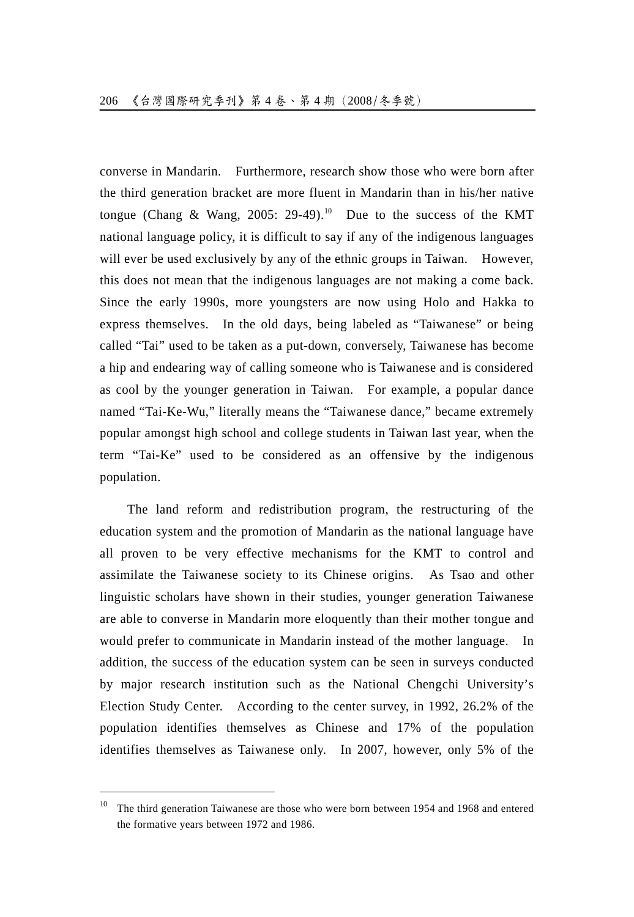converse in Mandarin. Furthermore, research show those who were born after the third generation bracket are more fluent in Mandarin than in his/her native tongue (Chang & Wang, 2005: 29-49).<sup>10</sup> Due to the success of the KMT national language policy, it is difficult to say if any of the indigenous languages will ever be used exclusively by any of the ethnic groups in Taiwan. However, this does not mean that the indigenous languages are not making a come back. Since the early 1990s, more youngsters are now using Holo and Hakka to express themselves. In the old days, being labeled as "Taiwanese" or being called "Tai" used to be taken as a put-down, conversely, Taiwanese has become a hip and endearing way of calling someone who is Taiwanese and is considered as cool by the younger generation in Taiwan. For example, a popular dance named "Tai-Ke-Wu," literally means the "Taiwanese dance," became extremely popular amongst high school and college students in Taiwan last year, when the term "Tai-Ke" used to be considered as an offensive by the indigenous population.

The land reform and redistribution program, the restructuring of the education system and the promotion of Mandarin as the national language have all proven to be very effective mechanisms for the KMT to control and assimilate the Taiwanese society to its Chinese origins. As Tsao and other linguistic scholars have shown in their studies, younger generation Taiwanese are able to converse in Mandarin more eloquently than their mother tongue and would prefer to communicate in Mandarin instead of the mother language. In addition, the success of the education system can be seen in surveys conducted by major research institution such as the National Chengchi University's Election Study Center. According to the center survey, in 1992, 26.2% of the population identifies themselves as Chinese and 17% of the population identifies themselves as Taiwanese only. In 2007, however, only 5% of the

<sup>10</sup> The third generation Taiwanese are those who were born between 1954 and 1968 and entered the formative years between 1972 and 1986.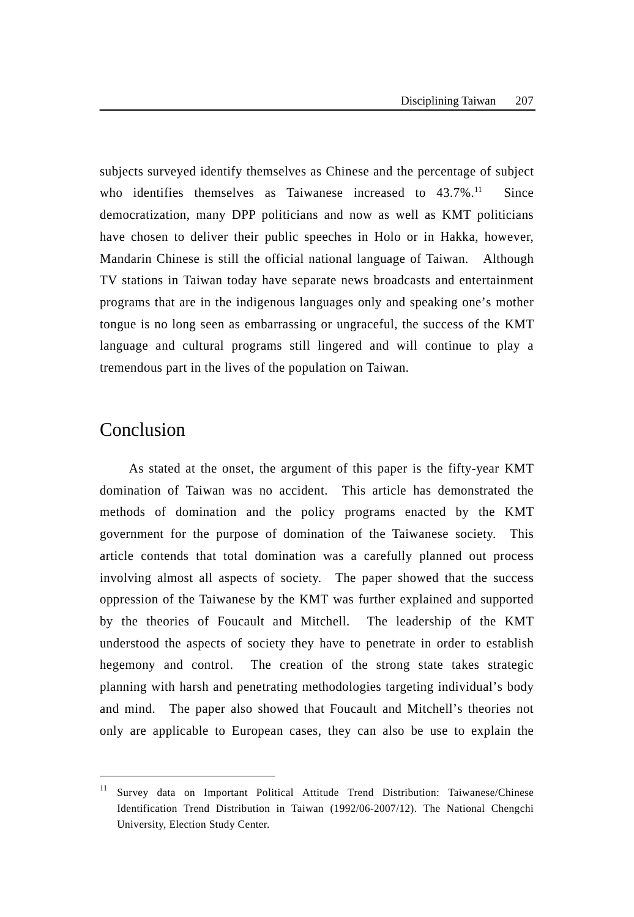subjects surveyed identify themselves as Chinese and the percentage of subject who identifies themselves as Taiwanese increased to  $43.7\%$ .<sup>11</sup> Since democratization, many DPP politicians and now as well as KMT politicians have chosen to deliver their public speeches in Holo or in Hakka, however, Mandarin Chinese is still the official national language of Taiwan. Although TV stations in Taiwan today have separate news broadcasts and entertainment programs that are in the indigenous languages only and speaking one's mother tongue is no long seen as embarrassing or ungraceful, the success of the KMT language and cultural programs still lingered and will continue to play a tremendous part in the lives of the population on Taiwan.

# Conclusion

 $\overline{a}$ 

As stated at the onset, the argument of this paper is the fifty-year KMT domination of Taiwan was no accident. This article has demonstrated the methods of domination and the policy programs enacted by the KMT government for the purpose of domination of the Taiwanese society. This article contends that total domination was a carefully planned out process involving almost all aspects of society. The paper showed that the success oppression of the Taiwanese by the KMT was further explained and supported by the theories of Foucault and Mitchell. The leadership of the KMT understood the aspects of society they have to penetrate in order to establish hegemony and control. The creation of the strong state takes strategic planning with harsh and penetrating methodologies targeting individual's body and mind. The paper also showed that Foucault and Mitchell's theories not only are applicable to European cases, they can also be use to explain the

<sup>11</sup> Survey data on Important Political Attitude Trend Distribution: Taiwanese/Chinese Identification Trend Distribution in Taiwan (1992/06-2007/12). The National Chengchi University, Election Study Center.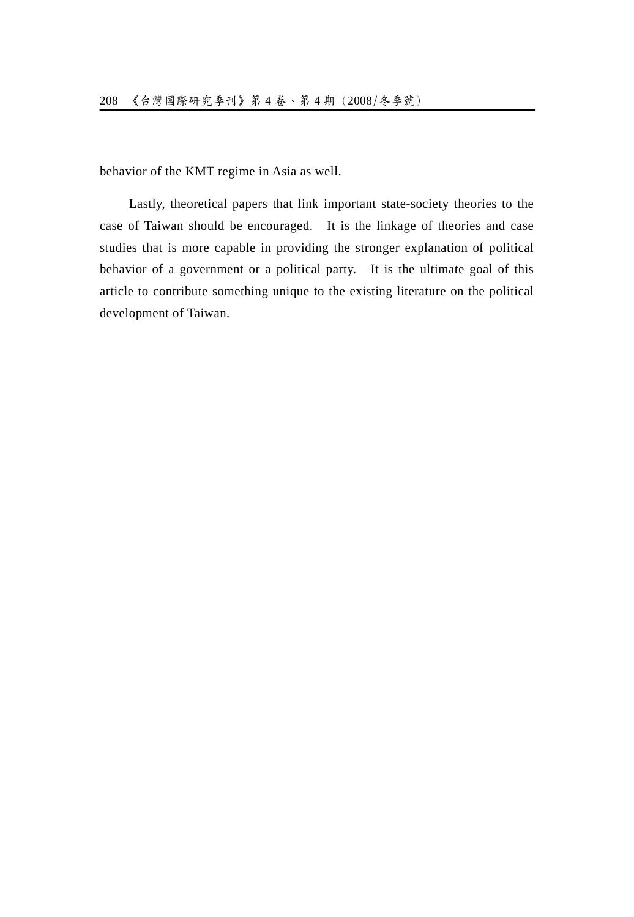behavior of the KMT regime in Asia as well.

Lastly, theoretical papers that link important state-society theories to the case of Taiwan should be encouraged. It is the linkage of theories and case studies that is more capable in providing the stronger explanation of political behavior of a government or a political party. It is the ultimate goal of this article to contribute something unique to the existing literature on the political development of Taiwan.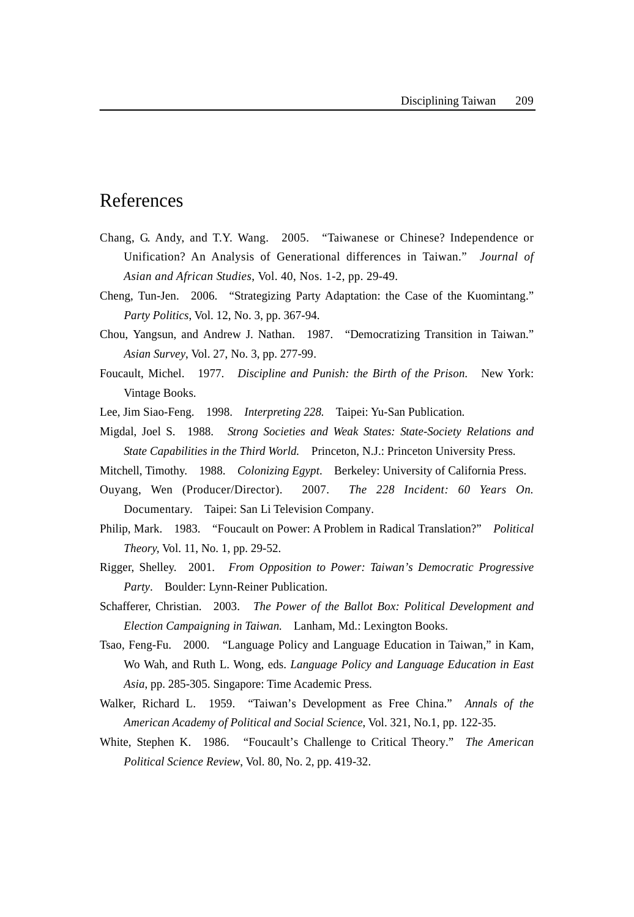## References

- Chang, G. Andy, and T.Y. Wang. 2005. "Taiwanese or Chinese? Independence or Unification? An Analysis of Generational differences in Taiwan." *Journal of Asian and African Studies*, Vol. 40, Nos. 1-2, pp. 29-49.
- Cheng, Tun-Jen. 2006. "Strategizing Party Adaptation: the Case of the Kuomintang." *Party Politics*, Vol. 12, No. 3, pp. 367-94.
- Chou, Yangsun, and Andrew J. Nathan. 1987. "Democratizing Transition in Taiwan." *Asian Survey*, Vol. 27, No. 3, pp. 277-99.
- Foucault, Michel. 1977. *Discipline and Punish: the Birth of the Prison.* New York: Vintage Books.
- Lee, Jim Siao-Feng. 1998. *Interpreting 228.* Taipei: Yu-San Publication.
- Migdal, Joel S. 1988. *Strong Societies and Weak States: State-Society Relations and State Capabilities in the Third World.* Princeton, N.J.: Princeton University Press.
- Mitchell, Timothy. 1988. *Colonizing Egypt*. Berkeley: University of California Press.
- Ouyang, Wen (Producer/Director). 2007. *The 228 Incident: 60 Years On.* Documentary. Taipei: San Li Television Company.
- Philip, Mark. 1983. "Foucault on Power: A Problem in Radical Translation?" *Political Theory,* Vol. 11, No. 1, pp. 29-52.
- Rigger, Shelley. 2001. *From Opposition to Power: Taiwan's Democratic Progressive Party*. Boulder: Lynn-Reiner Publication.
- Schafferer, Christian. 2003. *The Power of the Ballot Box: Political Development and Election Campaigning in Taiwan.* Lanham, Md.: Lexington Books.
- Tsao, Feng-Fu. 2000. "Language Policy and Language Education in Taiwan," in Kam, Wo Wah, and Ruth L. Wong, eds. *Language Policy and Language Education in East Asia*, pp. 285-305. Singapore: Time Academic Press.
- Walker, Richard L. 1959. "Taiwan's Development as Free China." *Annals of the American Academy of Political and Social Science*, Vol. 321, No.1, pp. 122-35.
- White, Stephen K. 1986. "Foucault's Challenge to Critical Theory." *The American Political Science Review*, Vol. 80, No. 2, pp. 419-32.